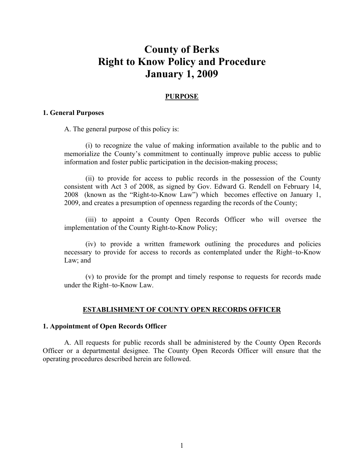# **County of Berks Right to Know Policy and Procedure January 1, 2009**

### **PURPOSE**

#### **1. General Purposes**

A. The general purpose of this policy is:

(i) to recognize the value of making information available to the public and to memorialize the County's commitment to continually improve public access to public information and foster public participation in the decision-making process;

(ii) to provide for access to public records in the possession of the County consistent with Act 3 of 2008, as signed by Gov. Edward G. Rendell on February 14, 2008 (known as the "Right-to-Know Law") which becomes effective on January 1, 2009, and creates a presumption of openness regarding the records of the County;

(iii) to appoint a County Open Records Officer who will oversee the implementation of the County Right-to-Know Policy;

(iv) to provide a written framework outlining the procedures and policies necessary to provide for access to records as contemplated under the Right–to-Know Law; and

(v) to provide for the prompt and timely response to requests for records made under the Right–to-Know Law.

#### **ESTABLISHMENT OF COUNTY OPEN RECORDS OFFICER**

#### **1. Appointment of Open Records Officer**

A. All requests for public records shall be administered by the County Open Records Officer or a departmental designee. The County Open Records Officer will ensure that the operating procedures described herein are followed.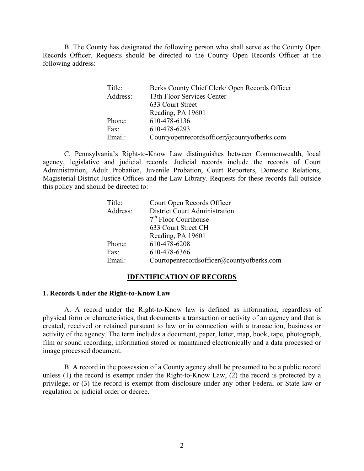B. The County has designated the following person who shall serve as the County Open Records Officer. Requests should be directed to the County Open Records Officer at the following address:

| Title:   | Berks County Chief Clerk/ Open Records Officer |
|----------|------------------------------------------------|
| Address: | 13th Floor Services Center                     |
|          | 633 Court Street                               |
|          | Reading, PA 19601                              |
| Phone:   | 610-478-6136                                   |
| Fax:     | 610-478-6293                                   |
| Email:   | Countyopenrecordsofficer@countyofberks.com     |

C. Pennsylvania's Right-to-Know Law distinguishes between Commonwealth, local agency, legislative and judicial records. Judicial records include the records of Court Administration, Adult Probation, Juvenile Probation, Court Reporters, Domestic Relations, Magisterial District Justice Offices and the Law Library. Requests for these records fall outside this policy and should be directed to:

| Title:   | Court Open Records Officer                |
|----------|-------------------------------------------|
| Address: | District Court Administration             |
|          | $7th$ Floor Courthouse                    |
|          | 633 Court Street CH                       |
|          | Reading, PA 19601                         |
| Phone:   | 610-478-6208                              |
| Fax:     | 610-478-6366                              |
| Email:   | Courtopenrecordsofficer@countyofberks.com |

#### **IDENTIFICATION OF RECORDS**

#### **1. Records Under the Right-to-Know Law**

A. A record under the Right-to-Know law is defined as information, regardless of physical form or characteristics, that documents a transaction or activity of an agency and that is created, received or retained pursuant to law or in connection with a transaction, business or activity of the agency. The term includes a document, paper, letter, map, book, tape, photograph, film or sound recording, information stored or maintained electronically and a data processed or image processed document.

B. A record in the possession of a County agency shall be presumed to be a public record unless (1) the record is exempt under the Right-to-Know Law, (2) the record is protected by a privilege; or (3) the record is exempt from disclosure under any other Federal or State law or regulation or judicial order or decree.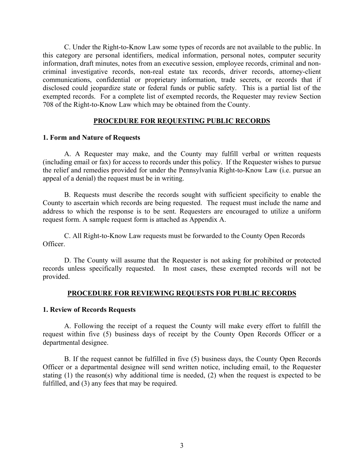C. Under the Right-to-Know Law some types of records are not available to the public. In this category are personal identifiers, medical information, personal notes, computer security information, draft minutes, notes from an executive session, employee records, criminal and noncriminal investigative records, non-real estate tax records, driver records, attorney-client communications, confidential or proprietary information, trade secrets, or records that if disclosed could jeopardize state or federal funds or public safety. This is a partial list of the exempted records. For a complete list of exempted records, the Requester may review Section 708 of the Right-to-Know Law which may be obtained from the County.

# **PROCEDURE FOR REQUESTING PUBLIC RECORDS**

# **1. Form and Nature of Requests**

A. A Requester may make, and the County may fulfill verbal or written requests (including email or fax) for access to records under this policy. If the Requester wishes to pursue the relief and remedies provided for under the Pennsylvania Right-to-Know Law (i.e. pursue an appeal of a denial) the request must be in writing.

B. Requests must describe the records sought with sufficient specificity to enable the County to ascertain which records are being requested. The request must include the name and address to which the response is to be sent. Requesters are encouraged to utilize a uniform request form. A sample request form is attached as Appendix A.

C. All Right-to-Know Law requests must be forwarded to the County Open Records Officer.

D. The County will assume that the Requester is not asking for prohibited or protected records unless specifically requested. In most cases, these exempted records will not be provided.

#### **PROCEDURE FOR REVIEWING REQUESTS FOR PUBLIC RECORDS**

#### **1. Review of Records Requests**

A. Following the receipt of a request the County will make every effort to fulfill the request within five (5) business days of receipt by the County Open Records Officer or a departmental designee.

B. If the request cannot be fulfilled in five (5) business days, the County Open Records Officer or a departmental designee will send written notice, including email, to the Requester stating (1) the reason(s) why additional time is needed, (2) when the request is expected to be fulfilled, and (3) any fees that may be required.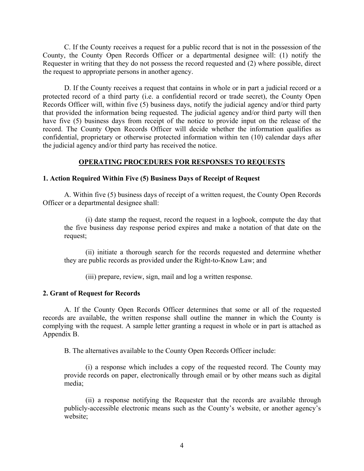C. If the County receives a request for a public record that is not in the possession of the County, the County Open Records Officer or a departmental designee will: (1) notify the Requester in writing that they do not possess the record requested and (2) where possible, direct the request to appropriate persons in another agency.

D. If the County receives a request that contains in whole or in part a judicial record or a protected record of a third party (i.e. a confidential record or trade secret), the County Open Records Officer will, within five (5) business days, notify the judicial agency and/or third party that provided the information being requested. The judicial agency and/or third party will then have five (5) business days from receipt of the notice to provide input on the release of the record. The County Open Records Officer will decide whether the information qualifies as confidential, proprietary or otherwise protected information within ten (10) calendar days after the judicial agency and/or third party has received the notice.

# **OPERATING PROCEDURES FOR RESPONSES TO REQUESTS**

#### **1. Action Required Within Five (5) Business Days of Receipt of Request**

A. Within five (5) business days of receipt of a written request, the County Open Records Officer or a departmental designee shall:

(i) date stamp the request, record the request in a logbook, compute the day that the five business day response period expires and make a notation of that date on the request;

(ii) initiate a thorough search for the records requested and determine whether they are public records as provided under the Right-to-Know Law; and

(iii) prepare, review, sign, mail and log a written response.

#### **2. Grant of Request for Records**

A. If the County Open Records Officer determines that some or all of the requested records are available, the written response shall outline the manner in which the County is complying with the request. A sample letter granting a request in whole or in part is attached as Appendix B.

B. The alternatives available to the County Open Records Officer include:

(i) a response which includes a copy of the requested record. The County may provide records on paper, electronically through email or by other means such as digital media;

(ii) a response notifying the Requester that the records are available through publicly-accessible electronic means such as the County's website, or another agency's website;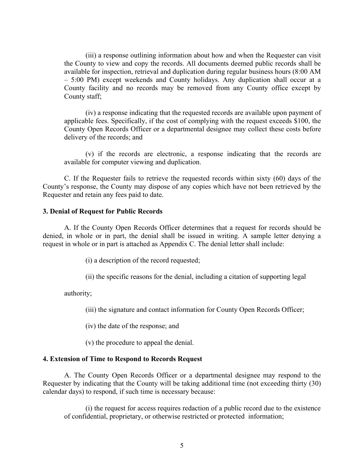(iii) a response outlining information about how and when the Requester can visit the County to view and copy the records. All documents deemed public records shall be available for inspection, retrieval and duplication during regular business hours (8:00 AM – 5:00 PM) except weekends and County holidays. Any duplication shall occur at a County facility and no records may be removed from any County office except by County staff;

(iv) a response indicating that the requested records are available upon payment of applicable fees. Specifically, if the cost of complying with the request exceeds \$100, the County Open Records Officer or a departmental designee may collect these costs before delivery of the records; and

(v) if the records are electronic, a response indicating that the records are available for computer viewing and duplication.

C. If the Requester fails to retrieve the requested records within sixty (60) days of the County's response, the County may dispose of any copies which have not been retrieved by the Requester and retain any fees paid to date.

#### **3. Denial of Request for Public Records**

A. If the County Open Records Officer determines that a request for records should be denied, in whole or in part, the denial shall be issued in writing. A sample letter denying a request in whole or in part is attached as Appendix C. The denial letter shall include:

(i) a description of the record requested;

(ii) the specific reasons for the denial, including a citation of supporting legal

authority;

(iii) the signature and contact information for County Open Records Officer;

(iv) the date of the response; and

(v) the procedure to appeal the denial.

#### **4. Extension of Time to Respond to Records Request**

A. The County Open Records Officer or a departmental designee may respond to the Requester by indicating that the County will be taking additional time (not exceeding thirty (30) calendar days) to respond, if such time is necessary because:

(i) the request for access requires redaction of a public record due to the existence of confidential, proprietary, or otherwise restricted or protected information;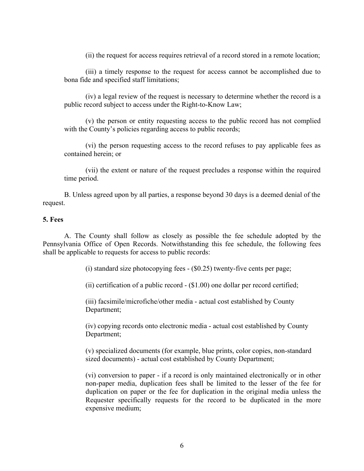(ii) the request for access requires retrieval of a record stored in a remote location;

(iii) a timely response to the request for access cannot be accomplished due to bona fide and specified staff limitations;

(iv) a legal review of the request is necessary to determine whether the record is a public record subject to access under the Right-to-Know Law;

(v) the person or entity requesting access to the public record has not complied with the County's policies regarding access to public records;

(vi) the person requesting access to the record refuses to pay applicable fees as contained herein; or

(vii) the extent or nature of the request precludes a response within the required time period.

B. Unless agreed upon by all parties, a response beyond 30 days is a deemed denial of the request.

# **5. Fees**

A. The County shall follow as closely as possible the fee schedule adopted by the Pennsylvania Office of Open Records. Notwithstanding this fee schedule, the following fees shall be applicable to requests for access to public records:

(i) standard size photocopying fees - (\$0.25) twenty-five cents per page;

(ii) certification of a public record - (\$1.00) one dollar per record certified;

(iii) facsimile/microfiche/other media - actual cost established by County Department;

(iv) copying records onto electronic media - actual cost established by County Department;

(v) specialized documents (for example, blue prints, color copies, non-standard sized documents) - actual cost established by County Department;

(vi) conversion to paper - if a record is only maintained electronically or in other non-paper media, duplication fees shall be limited to the lesser of the fee for duplication on paper or the fee for duplication in the original media unless the Requester specifically requests for the record to be duplicated in the more expensive medium;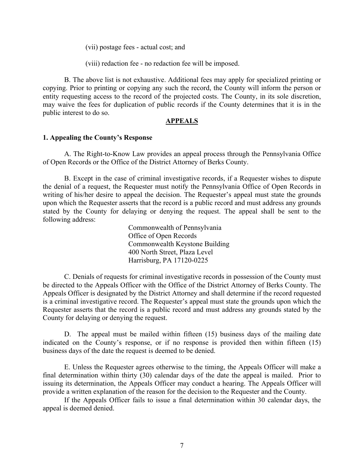(vii) postage fees - actual cost; and

(viii) redaction fee - no redaction fee will be imposed.

 B. The above list is not exhaustive. Additional fees may apply for specialized printing or copying. Prior to printing or copying any such the record, the County will inform the person or entity requesting access to the record of the projected costs. The County, in its sole discretion, may waive the fees for duplication of public records if the County determines that it is in the public interest to do so.

# **APPEALS**

#### **1. Appealing the County's Response**

A. The Right-to-Know Law provides an appeal process through the Pennsylvania Office of Open Records or the Office of the District Attorney of Berks County.

B. Except in the case of criminal investigative records, if a Requester wishes to dispute the denial of a request, the Requester must notify the Pennsylvania Office of Open Records in writing of his/her desire to appeal the decision. The Requester's appeal must state the grounds upon which the Requester asserts that the record is a public record and must address any grounds stated by the County for delaying or denying the request. The appeal shall be sent to the following address:

> Commonwealth of Pennsylvania Office of Open Records Commonwealth Keystone Building 400 North Street, Plaza Level Harrisburg, PA 17120-0225

C. Denials of requests for criminal investigative records in possession of the County must be directed to the Appeals Officer with the Office of the District Attorney of Berks County. The Appeals Officer is designated by the District Attorney and shall determine if the record requested is a criminal investigative record. The Requester's appeal must state the grounds upon which the Requester asserts that the record is a public record and must address any grounds stated by the County for delaying or denying the request.

D. The appeal must be mailed within fifteen (15) business days of the mailing date indicated on the County's response, or if no response is provided then within fifteen (15) business days of the date the request is deemed to be denied.

E. Unless the Requester agrees otherwise to the timing, the Appeals Officer will make a final determination within thirty (30) calendar days of the date the appeal is mailed. Prior to issuing its determination, the Appeals Officer may conduct a hearing. The Appeals Officer will provide a written explanation of the reason for the decision to the Requester and the County.

If the Appeals Officer fails to issue a final determination within 30 calendar days, the appeal is deemed denied.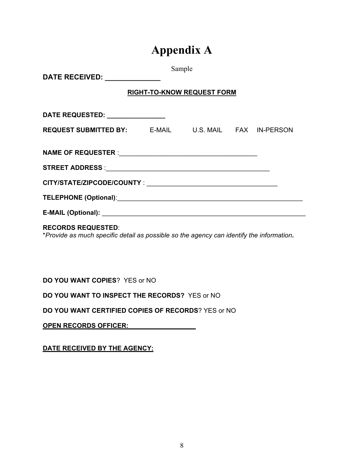# **Appendix A**

| DATE RECEIVED: _____________                         | Sample |  |  |  |  |  |  |
|------------------------------------------------------|--------|--|--|--|--|--|--|
| <b>RIGHT-TO-KNOW REQUEST FORM</b>                    |        |  |  |  |  |  |  |
| DATE REQUESTED: _______________                      |        |  |  |  |  |  |  |
| REQUEST SUBMITTED BY: E-MAIL U.S. MAIL FAX IN-PERSON |        |  |  |  |  |  |  |
|                                                      |        |  |  |  |  |  |  |
|                                                      |        |  |  |  |  |  |  |
|                                                      |        |  |  |  |  |  |  |
|                                                      |        |  |  |  |  |  |  |
|                                                      |        |  |  |  |  |  |  |
|                                                      |        |  |  |  |  |  |  |

## **RECORDS REQUESTED**:

\**Provide as much specific detail as possible so the agency can identify the information.* 

**DO YOU WANT COPIES**? YES or NO

**DO YOU WANT TO INSPECT THE RECORDS?** YES or NO

**DO YOU WANT CERTIFIED COPIES OF RECORDS**? YES or NO

**OPEN RECORDS OFFICER: \_\_\_\_\_\_\_\_\_\_\_\_\_\_\_\_\_\_**

**DATE RECEIVED BY THE AGENCY:**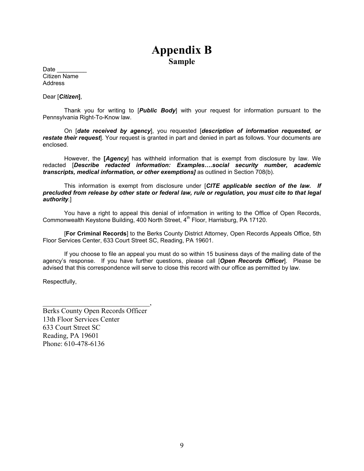# **Appendix B Sample**

Date Citizen Name **Address** 

Dear [*Citizen***]**,

Thank you for writing to [*Public Body*] with your request for information pursuant to the Pennsylvania Right-To-Know law.

On [*date received by agency*], you requested [*description of information requested, or restate their request*]. Your request is granted in part and denied in part as follows. Your documents are enclosed.

However, the **[***Agency*] has withheld information that is exempt from disclosure by law. We redacted [*Describe redacted information: Examples….social security number, academic transcripts, medical information, or other exemptions]* as outlined in Section 708(b).

This information is exempt from disclosure under [*CITE applicable section of the law. If precluded from release by other state or federal law, rule or regulation, you must cite to that legal authority.*]

You have a right to appeal this denial of information in writing to the Office of Open Records, Commonwealth Keystone Building, 400 North Street, 4<sup>th</sup> Floor, Harrisburg, PA 17120.

[**For Criminal Records**] to the Berks County District Attorney, Open Records Appeals Office, 5th Floor Services Center, 633 Court Street SC, Reading, PA 19601.

If you choose to file an appeal you must do so within 15 business days of the mailing date of the agency's response. If you have further questions, please call [*Open Records Officer*]. Please be advised that this correspondence will serve to close this record with our office as permitted by law.

Respectfully,

Berks County Open Records Officer 13th Floor Services Center 633 Court Street SC Reading, PA 19601 Phone: 610-478-6136

 $\overline{\phantom{a}}$